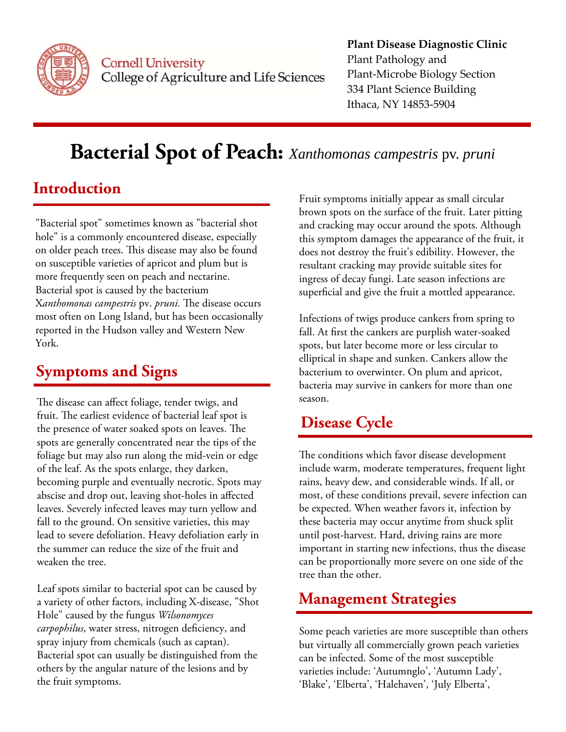

#### **Cornell University** College of Agriculture and Life Sciences

#### **Plant Disease Diagnostic Clinic** Plant Pathology and Plant‐Microbe Biology Section 334 Plant Science Building Ithaca, NY 14853‐5904

# **Bacterial Spot of Peach:** *Xanthomonas campestris* pv. *pruni*

### **Introduction**

"Bacterial spot" sometimes known as "bacterial shot hole" is a commonly encountered disease, especially on older peach trees. This disease may also be found on susceptible varieties of apricot and plum but is more frequently seen on peach and nectarine. Bacterial spot is caused by the bacterium X*anthomonas campestris* pv. *pruni.* The disease occurs most often on Long Island, but has been occasionally reported in the Hudson valley and Western New York.

## **Symptoms and Signs**

The disease can affect foliage, tender twigs, and fruit. The earliest evidence of bacterial leaf spot is the presence of water soaked spots on leaves. The spots are generally concentrated near the tips of the foliage but may also run along the mid-vein or edge of the leaf. As the spots enlarge, they darken, becoming purple and eventually necrotic. Spots may abscise and drop out, leaving shot-holes in affected leaves. Severely infected leaves may turn yellow and fall to the ground. On sensitive varieties, this may lead to severe defoliation. Heavy defoliation early in the summer can reduce the size of the fruit and weaken the tree.

Leaf spots similar to bacterial spot can be caused by a variety of other factors, including X-disease, "Shot Hole" caused by the fungus *Wilsonomyces carpophilus*, water stress, nitrogen deficiency, and spray injury from chemicals (such as captan). Bacterial spot can usually be distinguished from the others by the angular nature of the lesions and by the fruit symptoms.

Fruit symptoms initially appear as small circular brown spots on the surface of the fruit. Later pitting and cracking may occur around the spots. Although this symptom damages the appearance of the fruit, it does not destroy the fruit's edibility. However, the resultant cracking may provide suitable sites for ingress of decay fungi. Late season infections are superficial and give the fruit a mottled appearance.

Infections of twigs produce cankers from spring to fall. At first the cankers are purplish water-soaked spots, but later become more or less circular to elliptical in shape and sunken. Cankers allow the bacterium to overwinter. On plum and apricot, bacteria may survive in cankers for more than one season.

### **Disease Cycle**

The conditions which favor disease development include warm, moderate temperatures, frequent light rains, heavy dew, and considerable winds. If all, or most, of these conditions prevail, severe infection can be expected. When weather favors it, infection by these bacteria may occur anytime from shuck split until post-harvest. Hard, driving rains are more important in starting new infections, thus the disease can be proportionally more severe on one side of the tree than the other.

#### **Management Strategies**

Some peach varieties are more susceptible than others but virtually all commercially grown peach varieties can be infected. Some of the most susceptible varieties include: 'Autumnglo', 'Autumn Lady', 'Blake', 'Elberta', 'Halehaven', 'July Elberta',